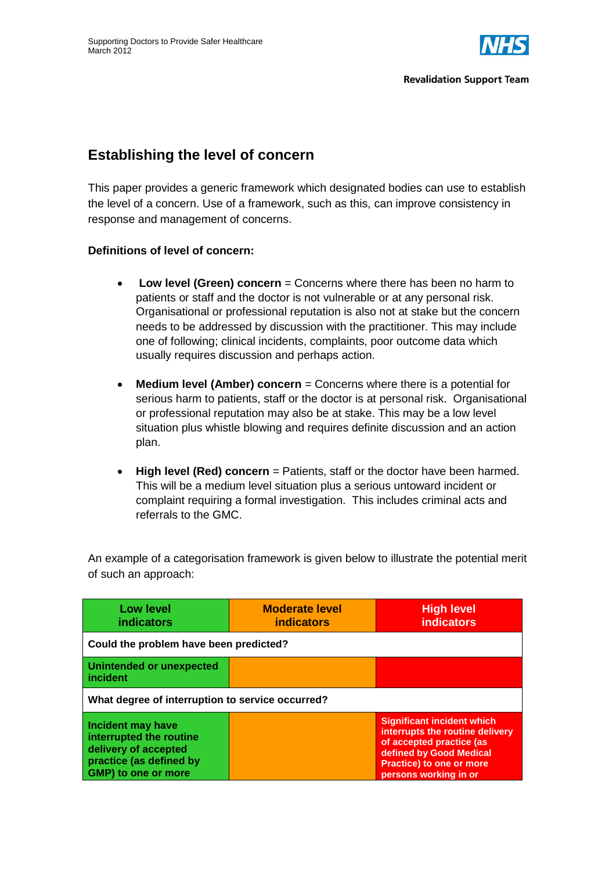

## **Establishing the level of concern**

This paper provides a generic framework which designated bodies can use to establish the level of a concern. Use of a framework, such as this, can improve consistency in response and management of concerns.

## **Definitions of level of concern:**

- **Low level (Green) concern** = Concerns where there has been no harm to patients or staff and the doctor is not vulnerable or at any personal risk. Organisational or professional reputation is also not at stake but the concern needs to be addressed by discussion with the practitioner. This may include one of following; clinical incidents, complaints, poor outcome data which usually requires discussion and perhaps action.
- **Medium level (Amber) concern** *=* Concerns where there is a potential for serious harm to patients, staff or the doctor is at personal risk. Organisational or professional reputation may also be at stake. This may be a low level situation plus whistle blowing and requires definite discussion and an action plan.
- **High level (Red) concern** *=* Patients, staff or the doctor have been harmed. This will be a medium level situation plus a serious untoward incident or complaint requiring a formal investigation. This includes criminal acts and referrals to the GMC.

An example of a categorisation framework is given below to illustrate the potential merit of such an approach:

| <b>Low level</b><br><b>indicators</b>                                                                                         | <b>Moderate level</b><br><i>indicators</i> | <b>High level</b><br><b>indicators</b>                                                                                                                                                  |  |  |
|-------------------------------------------------------------------------------------------------------------------------------|--------------------------------------------|-----------------------------------------------------------------------------------------------------------------------------------------------------------------------------------------|--|--|
| Could the problem have been predicted?                                                                                        |                                            |                                                                                                                                                                                         |  |  |
| <b>Unintended or unexpected</b><br>incident                                                                                   |                                            |                                                                                                                                                                                         |  |  |
| What degree of interruption to service occurred?                                                                              |                                            |                                                                                                                                                                                         |  |  |
| <b>Incident may have</b><br>interrupted the routine<br>delivery of accepted<br>practice (as defined by<br>GMP) to one or more |                                            | <b>Significant incident which</b><br>interrupts the routine delivery<br>of accepted practice (as<br>defined by Good Medical<br><b>Practice) to one or more</b><br>persons working in or |  |  |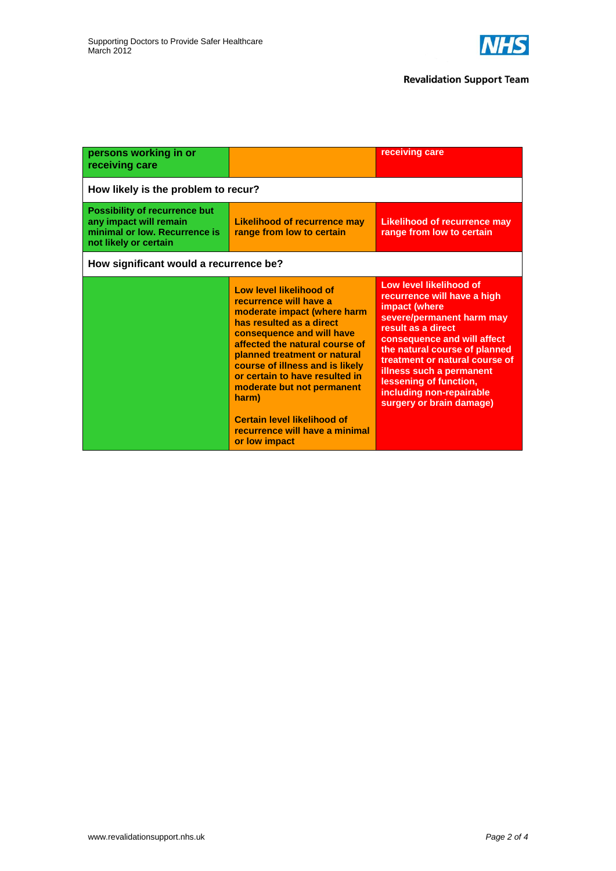

| persons working in or<br>receiving care                                                                                  |                                                                                                                                                                                                                                                                                                                                                                                                                  | receiving care                                                                                                                                                                                                                                                                                                                             |  |  |
|--------------------------------------------------------------------------------------------------------------------------|------------------------------------------------------------------------------------------------------------------------------------------------------------------------------------------------------------------------------------------------------------------------------------------------------------------------------------------------------------------------------------------------------------------|--------------------------------------------------------------------------------------------------------------------------------------------------------------------------------------------------------------------------------------------------------------------------------------------------------------------------------------------|--|--|
| How likely is the problem to recur?                                                                                      |                                                                                                                                                                                                                                                                                                                                                                                                                  |                                                                                                                                                                                                                                                                                                                                            |  |  |
| <b>Possibility of recurrence but</b><br>any impact will remain<br>minimal or low. Recurrence is<br>not likely or certain | <b>Likelihood of recurrence may</b><br>range from low to certain                                                                                                                                                                                                                                                                                                                                                 | <b>Likelihood of recurrence may</b><br>range from low to certain                                                                                                                                                                                                                                                                           |  |  |
| How significant would a recurrence be?                                                                                   |                                                                                                                                                                                                                                                                                                                                                                                                                  |                                                                                                                                                                                                                                                                                                                                            |  |  |
|                                                                                                                          | Low level likelihood of<br>recurrence will have a<br>moderate impact (where harm<br>has resulted as a direct<br>consequence and will have<br>affected the natural course of<br>planned treatment or natural<br>course of illness and is likely<br>or certain to have resulted in<br>moderate but not permanent<br>harm)<br><b>Certain level likelihood of</b><br>recurrence will have a minimal<br>or low impact | Low level likelihood of<br>recurrence will have a high<br>impact (where<br>severe/permanent harm may<br>result as a direct<br>consequence and will affect<br>the natural course of planned<br>treatment or natural course of<br>illness such a permanent<br>lessening of function,<br>including non-repairable<br>surgery or brain damage) |  |  |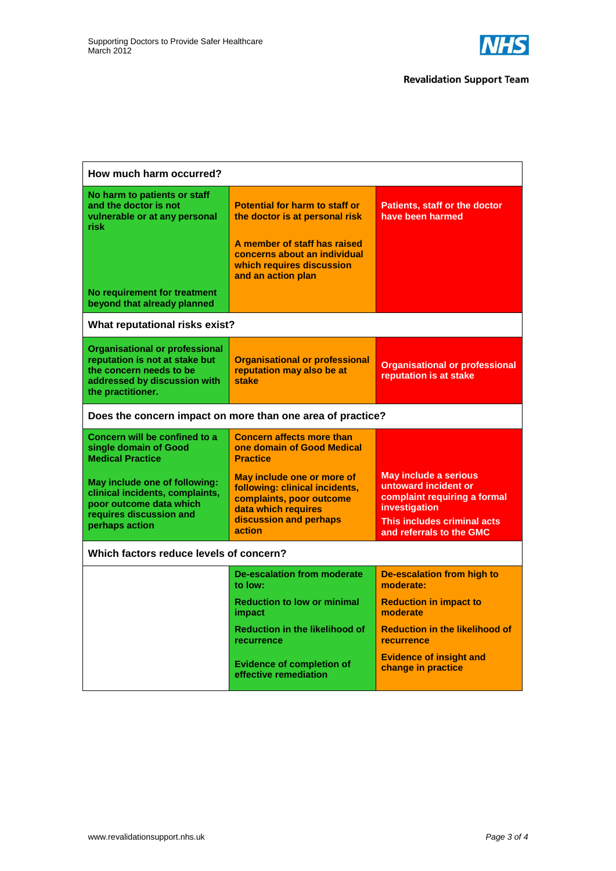

| How much harm occurred?                                                                                                                                 |                                                                                                                                                                                            |                                                                                                                                                                  |  |  |
|---------------------------------------------------------------------------------------------------------------------------------------------------------|--------------------------------------------------------------------------------------------------------------------------------------------------------------------------------------------|------------------------------------------------------------------------------------------------------------------------------------------------------------------|--|--|
| No harm to patients or staff<br>and the doctor is not<br>vulnerable or at any personal<br>risk<br>No requirement for treatment                          | <b>Potential for harm to staff or</b><br>the doctor is at personal risk<br>A member of staff has raised<br>concerns about an individual<br>which requires discussion<br>and an action plan | <b>Patients, staff or the doctor</b><br>have been harmed                                                                                                         |  |  |
| beyond that already planned                                                                                                                             |                                                                                                                                                                                            |                                                                                                                                                                  |  |  |
| What reputational risks exist?                                                                                                                          |                                                                                                                                                                                            |                                                                                                                                                                  |  |  |
| <b>Organisational or professional</b><br>reputation is not at stake but<br>the concern needs to be<br>addressed by discussion with<br>the practitioner. | <b>Organisational or professional</b><br>reputation may also be at<br>stake                                                                                                                | <b>Organisational or professional</b><br>reputation is at stake                                                                                                  |  |  |
| Does the concern impact on more than one area of practice?                                                                                              |                                                                                                                                                                                            |                                                                                                                                                                  |  |  |
| Concern will be confined to a<br>single domain of Good<br><b>Medical Practice</b>                                                                       | <b>Concern affects more than</b><br>one domain of Good Medical<br><b>Practice</b>                                                                                                          |                                                                                                                                                                  |  |  |
| May include one of following:<br>clinical incidents, complaints,<br>poor outcome data which<br>requires discussion and<br>perhaps action                | May include one or more of<br>following: clinical incidents,<br>complaints, poor outcome<br>data which requires<br>discussion and perhaps<br>action                                        | <b>May include a serious</b><br>untoward incident or<br>complaint requiring a formal<br>investigation<br>This includes criminal acts<br>and referrals to the GMC |  |  |
| Which factors reduce levels of concern?                                                                                                                 |                                                                                                                                                                                            |                                                                                                                                                                  |  |  |
|                                                                                                                                                         | <b>De-escalation from moderate</b><br>to low:                                                                                                                                              | <b>De-escalation from high to</b><br>moderate:                                                                                                                   |  |  |
|                                                                                                                                                         | <b>Reduction to low or minimal</b><br>impact                                                                                                                                               | <b>Reduction in impact to</b><br>moderate                                                                                                                        |  |  |
|                                                                                                                                                         | <b>Reduction in the likelihood of</b><br>recurrence                                                                                                                                        | <b>Reduction in the likelihood of</b><br><b>recurrence</b>                                                                                                       |  |  |
|                                                                                                                                                         | <b>Evidence of completion of</b><br>effective remediation                                                                                                                                  | <b>Evidence of insight and</b><br>change in practice                                                                                                             |  |  |